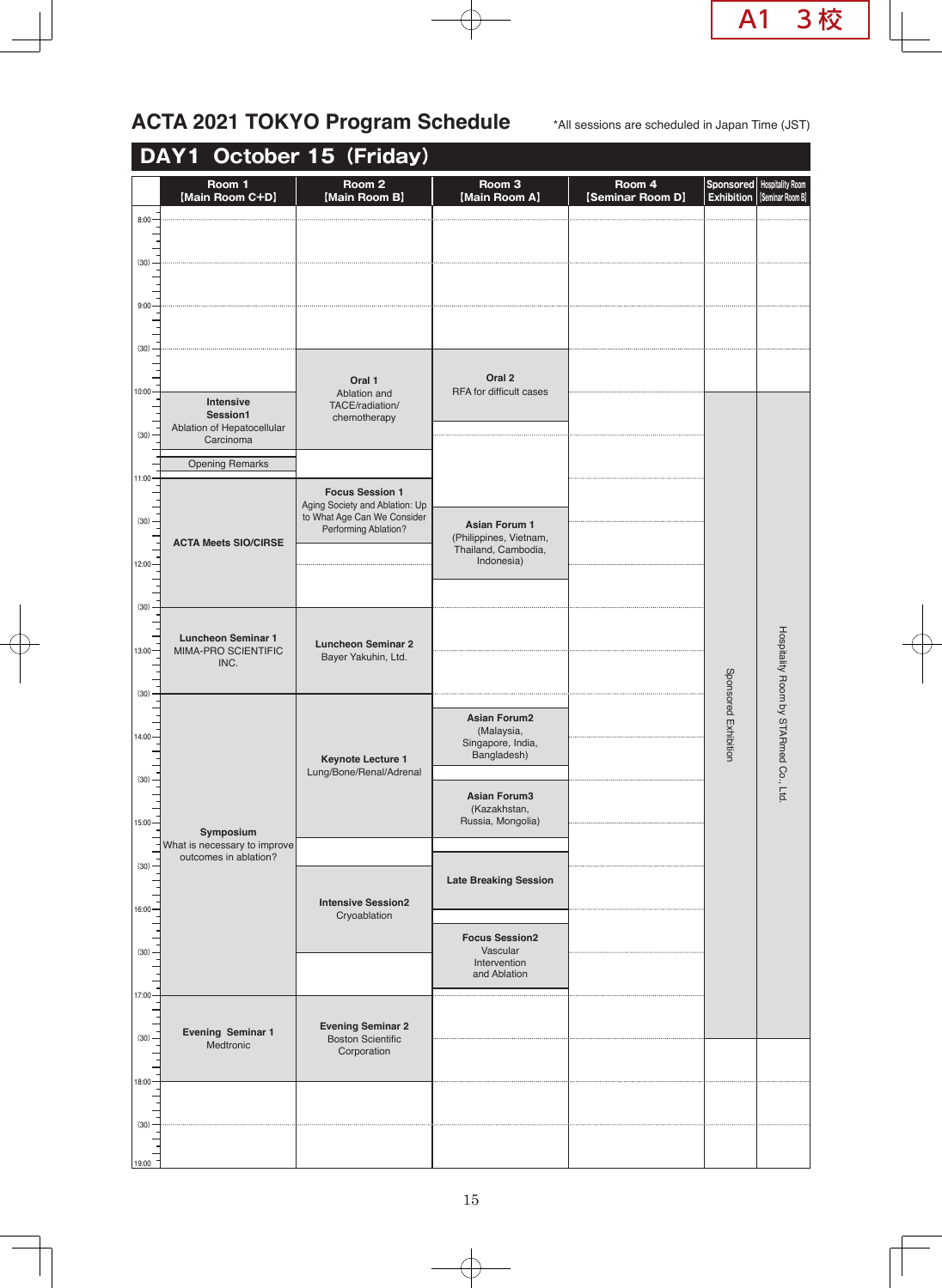## ACTA 2021 TOKYO Program Schedule \*All sessions are scheduled in Japan Time (JST)

| DAY1 October 15 (Friday) |                                                     |                                                                                       |                                                          |                            |                                |                                             |  |  |
|--------------------------|-----------------------------------------------------|---------------------------------------------------------------------------------------|----------------------------------------------------------|----------------------------|--------------------------------|---------------------------------------------|--|--|
|                          | Room 1<br>[Main Room C+D]                           | Room <sub>2</sub><br>[Main Room B]                                                    | Room <sub>3</sub><br>[Main Room A]                       | Room 4<br>[Seminar Room D] | Sponsored<br><b>Exhibition</b> | <b>Hospitality Room</b><br>[Seminar Room B] |  |  |
| $8:00 -$                 |                                                     |                                                                                       |                                                          |                            |                                |                                             |  |  |
| (30)                     |                                                     |                                                                                       |                                                          |                            |                                |                                             |  |  |
|                          |                                                     |                                                                                       |                                                          |                            |                                |                                             |  |  |
| 9:00                     |                                                     |                                                                                       |                                                          |                            |                                |                                             |  |  |
| (30)                     |                                                     |                                                                                       |                                                          |                            |                                |                                             |  |  |
| 10:00                    |                                                     | Oral 1<br>Ablation and                                                                | Oral 2<br>RFA for difficult cases                        |                            |                                |                                             |  |  |
|                          | Intensive<br>Session1<br>Ablation of Hepatocellular | TACE/radiation/<br>chemotherapy                                                       |                                                          |                            |                                |                                             |  |  |
| (30)                     | Carcinoma                                           |                                                                                       |                                                          |                            |                                |                                             |  |  |
| $11:00 -$                | <b>Opening Remarks</b>                              | <b>Focus Session 1</b>                                                                |                                                          |                            |                                |                                             |  |  |
| (30)                     |                                                     | Aging Society and Ablation: Up<br>to What Age Can We Consider<br>Performing Ablation? | <b>Asian Forum 1</b>                                     |                            |                                |                                             |  |  |
|                          | <b>ACTA Meets SIO/CIRSE</b>                         |                                                                                       | (Philippines, Vietnam,<br>Thailand, Cambodia,            |                            |                                |                                             |  |  |
| $12:00 -$                |                                                     |                                                                                       | Indonesia)                                               |                            |                                |                                             |  |  |
| (30)                     |                                                     |                                                                                       |                                                          |                            |                                |                                             |  |  |
| $13:00 -$                | <b>Luncheon Seminar 1</b><br>MIMA-PRO SCIENTIFIC    | <b>Luncheon Seminar 2</b><br>Bayer Yakuhin, Ltd.                                      |                                                          |                            |                                |                                             |  |  |
|                          | INC.                                                |                                                                                       |                                                          |                            |                                |                                             |  |  |
| (30)                     |                                                     |                                                                                       | <b>Asian Forum2</b>                                      |                            |                                |                                             |  |  |
| $14:00 -$                |                                                     | <b>Keynote Lecture 1</b><br>Lung/Bone/Renal/Adrenal                                   | (Malaysia,<br>Singapore, India,<br>Bangladesh)           |                            | Sponsored Exhibition           | Hospitality Room by STARmed Co<br>o., Ltd.  |  |  |
| $(30) -$                 |                                                     |                                                                                       |                                                          |                            |                                |                                             |  |  |
| $15:00 -$                |                                                     |                                                                                       | <b>Asian Forum3</b><br>(Kazakhstan,<br>Russia, Mongolia) |                            |                                |                                             |  |  |
|                          | Symposium<br>What is necessary to improve           |                                                                                       |                                                          |                            |                                |                                             |  |  |
| (30)                     | outcomes in ablation?                               | <b>Intensive Session2</b><br>Cryoablation                                             | <b>Late Breaking Session</b>                             |                            |                                |                                             |  |  |
| 16:00                    |                                                     |                                                                                       |                                                          |                            |                                |                                             |  |  |
| (30)                     |                                                     |                                                                                       | <b>Focus Session2</b><br>Vascular                        |                            |                                |                                             |  |  |
|                          |                                                     |                                                                                       | Intervention<br>and Ablation                             |                            |                                |                                             |  |  |
| 17:00                    |                                                     |                                                                                       |                                                          |                            |                                |                                             |  |  |
| (30)                     | Evening Seminar 1<br>Medtronic                      | <b>Evening Seminar 2</b><br><b>Boston Scientific</b><br>Corporation                   |                                                          |                            |                                |                                             |  |  |
| $18:00 -$                |                                                     |                                                                                       |                                                          |                            |                                |                                             |  |  |
|                          |                                                     |                                                                                       |                                                          |                            |                                |                                             |  |  |
| (30)                     |                                                     |                                                                                       |                                                          |                            |                                |                                             |  |  |
| 19:00                    |                                                     |                                                                                       |                                                          |                            |                                |                                             |  |  |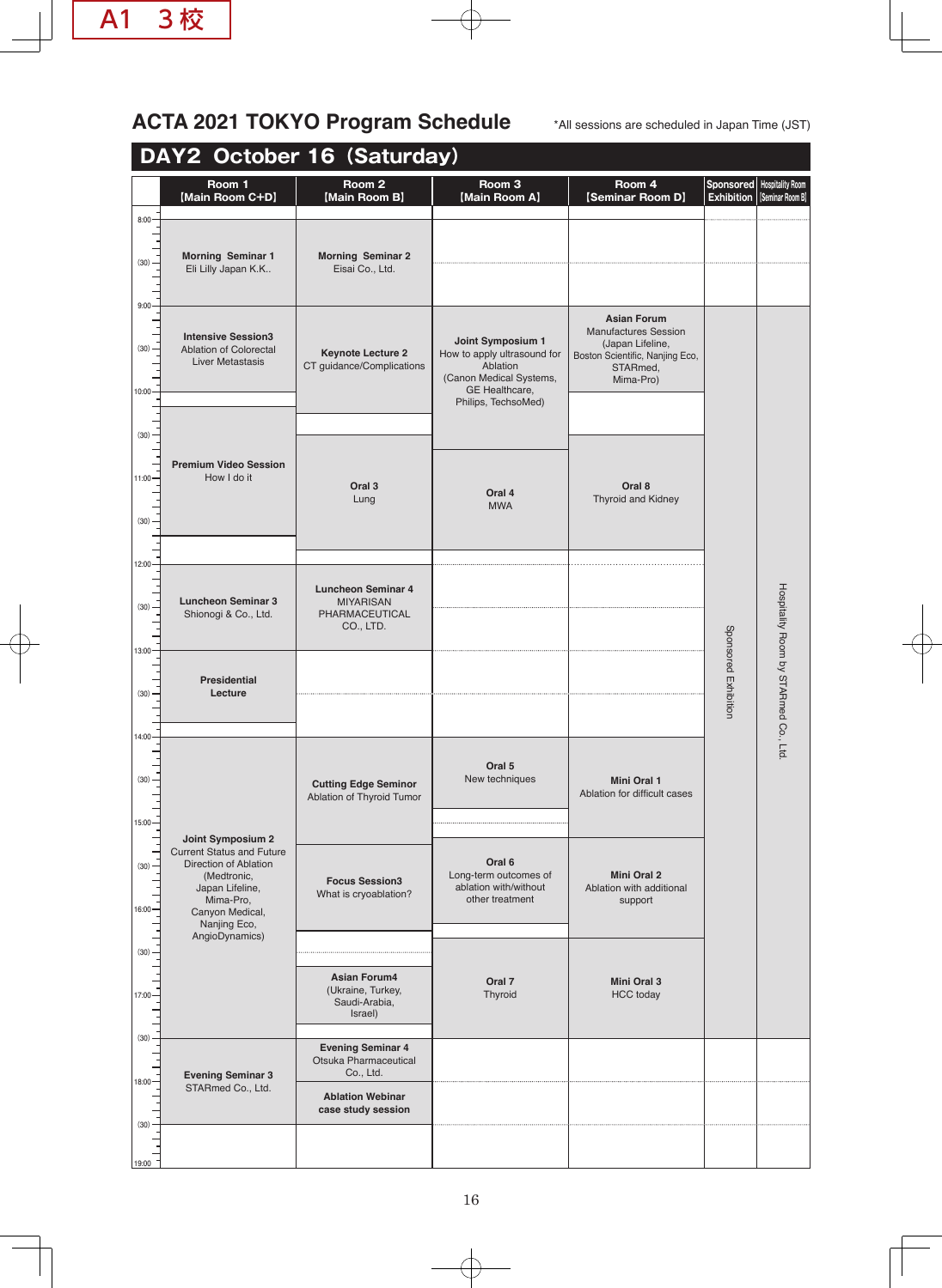## ACTA 2021 TOKYO Program Schedule  $\text{A}\text{A}$ ll sessions are scheduled in Japan Time (JST)

## **DAY2 October 16(Saturday)**

|                                | Room 1<br>[Main Room C+D]                                                                                                                                                          | Room 2<br>[Main Room B]                                                      | Room <sub>3</sub><br>[Main Room A]                                                                                               | Room 4<br>[Seminar Room D]                                                                                                        | Sponsored<br><b>Exhibition</b> | <b>Hospitality Room</b><br>[Seminar Room B] |
|--------------------------------|------------------------------------------------------------------------------------------------------------------------------------------------------------------------------------|------------------------------------------------------------------------------|----------------------------------------------------------------------------------------------------------------------------------|-----------------------------------------------------------------------------------------------------------------------------------|--------------------------------|---------------------------------------------|
| $8:00 -$                       |                                                                                                                                                                                    |                                                                              |                                                                                                                                  |                                                                                                                                   |                                |                                             |
| (30)                           | <b>Morning Seminar 1</b><br>Eli Lilly Japan K.K                                                                                                                                    | <b>Morning Seminar 2</b><br>Eisai Co., Ltd.                                  |                                                                                                                                  |                                                                                                                                   |                                |                                             |
| 9:00<br>(30)<br>10:00          | <b>Intensive Session3</b><br>Ablation of Colorectal<br><b>Liver Metastasis</b>                                                                                                     | <b>Keynote Lecture 2</b><br>CT guidance/Complications                        | Joint Symposium 1<br>How to apply ultrasound for<br>Ablation<br>(Canon Medical Systems,<br>GE Healthcare,<br>Philips, TechsoMed) | <b>Asian Forum</b><br><b>Manufactures Session</b><br>(Japan Lifeline,<br>Boston Scientific, Nanjing Eco,<br>STARmed,<br>Mima-Pro) |                                |                                             |
| (30)                           |                                                                                                                                                                                    |                                                                              |                                                                                                                                  |                                                                                                                                   |                                |                                             |
| $11:00 -$<br>(30)              | <b>Premium Video Session</b><br>How I do it                                                                                                                                        | Oral <sub>3</sub><br>Lung                                                    | Oral 4<br><b>MWA</b>                                                                                                             | Oral 8<br>Thyroid and Kidney                                                                                                      |                                |                                             |
| 12:00                          |                                                                                                                                                                                    |                                                                              |                                                                                                                                  |                                                                                                                                   |                                |                                             |
| (30)<br>13:00                  | <b>Luncheon Seminar 3</b><br>Shionogi & Co., Ltd.                                                                                                                                  | <b>Luncheon Seminar 4</b><br><b>MIYARISAN</b><br>PHARMACEUTICAL<br>CO., LTD. |                                                                                                                                  |                                                                                                                                   |                                | Hospitality Room by STARmed Co., Ltd        |
| (30)                           | <b>Presidential</b><br>Lecture                                                                                                                                                     |                                                                              |                                                                                                                                  |                                                                                                                                   | Sponsored Exhibition           |                                             |
|                                |                                                                                                                                                                                    |                                                                              |                                                                                                                                  |                                                                                                                                   |                                |                                             |
| $14:00 -$<br>(30)<br>$15:00 -$ |                                                                                                                                                                                    | <b>Cutting Edge Seminor</b><br>Ablation of Thyroid Tumor                     | Oral 5<br>New techniques                                                                                                         | <b>Mini Oral 1</b><br>Ablation for difficult cases                                                                                |                                |                                             |
| (30)<br>16:00                  | Joint Symposium 2<br><b>Current Status and Future</b><br>Direction of Ablation<br>(Medtronic,<br>Japan Lifeline,<br>Mima-Pro,<br>Canyon Medical,<br>Nanjing Eco,<br>AngioDynamics) | <b>Focus Session3</b><br>What is cryoablation?                               | Oral 6<br>Long-term outcomes of<br>ablation with/without<br>other treatment                                                      | <b>Mini Oral 2</b><br>Ablation with additional<br>support                                                                         |                                |                                             |
| (30)                           |                                                                                                                                                                                    |                                                                              |                                                                                                                                  |                                                                                                                                   |                                |                                             |
| $17:00 -$                      |                                                                                                                                                                                    | <b>Asian Forum4</b><br>(Ukraine, Turkey,<br>Saudi-Arabia,<br>Israel)         | Oral 7<br>Thyroid                                                                                                                | Mini Oral 3<br><b>HCC</b> today                                                                                                   |                                |                                             |
| (30)<br>$18:00 -$              | <b>Evening Seminar 3</b>                                                                                                                                                           | <b>Evening Seminar 4</b><br>Otsuka Pharmaceutical<br>Co., Ltd.               |                                                                                                                                  |                                                                                                                                   |                                |                                             |
| (30)                           | STARmed Co., Ltd.                                                                                                                                                                  | <b>Ablation Webinar</b><br>case study session                                |                                                                                                                                  |                                                                                                                                   |                                |                                             |
| 19:00                          |                                                                                                                                                                                    |                                                                              |                                                                                                                                  |                                                                                                                                   |                                |                                             |